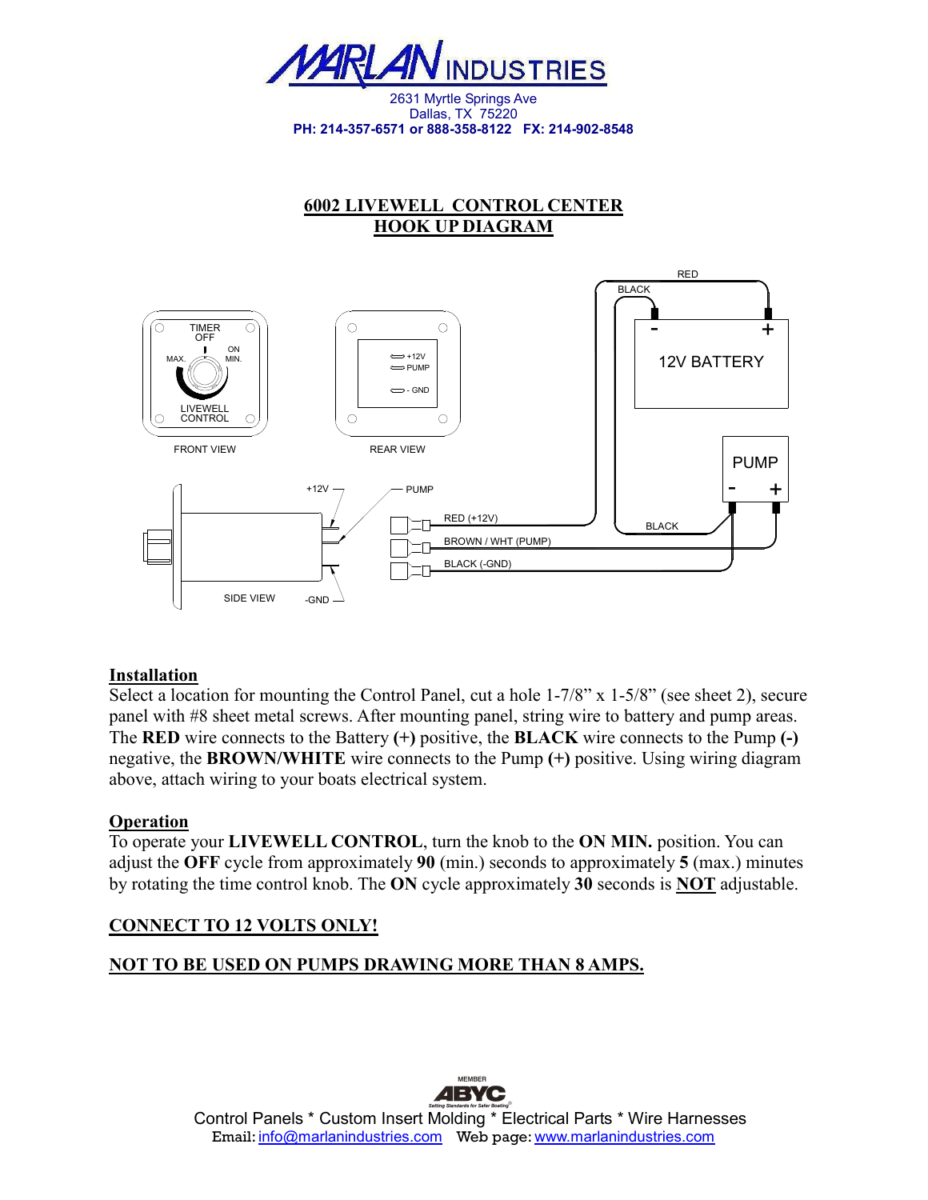

Dallas, TX 75220 **PH: 214-357-6571 or 888-358-8122 FX: 214-902-8548** 

# **6002 LIVEWELL CONTROL CENTER HOOK UP DIAGRAM**



### **Installation**

Select a location for mounting the Control Panel, cut a hole 1-7/8" x 1-5/8" (see sheet 2), secure panel with #8 sheet metal screws. After mounting panel, string wire to battery and pump areas. The **RED** wire connects to the Battery **(+)** positive, the **BLACK** wire connects to the Pump **(-)** negative, the **BROWN/WHITE** wire connects to the Pump **(+)** positive. Using wiring diagram above, attach wiring to your boats electrical system.

### **Operation**

To operate your **LIVEWELL CONTROL**, turn the knob to the **ON MIN.** position. You can adjust the **OFF** cycle from approximately **90** (min.) seconds to approximately **5** (max.) minutes by rotating the time control knob. The **ON** cycle approximately **30** seconds is **NOT** adjustable.

## **CONNECT TO 12 VOLTS ONLY!**

## **NOT TO BE USED ON PUMPS DRAWING MORE THAN 8 AMPS.**



**MEMBER**